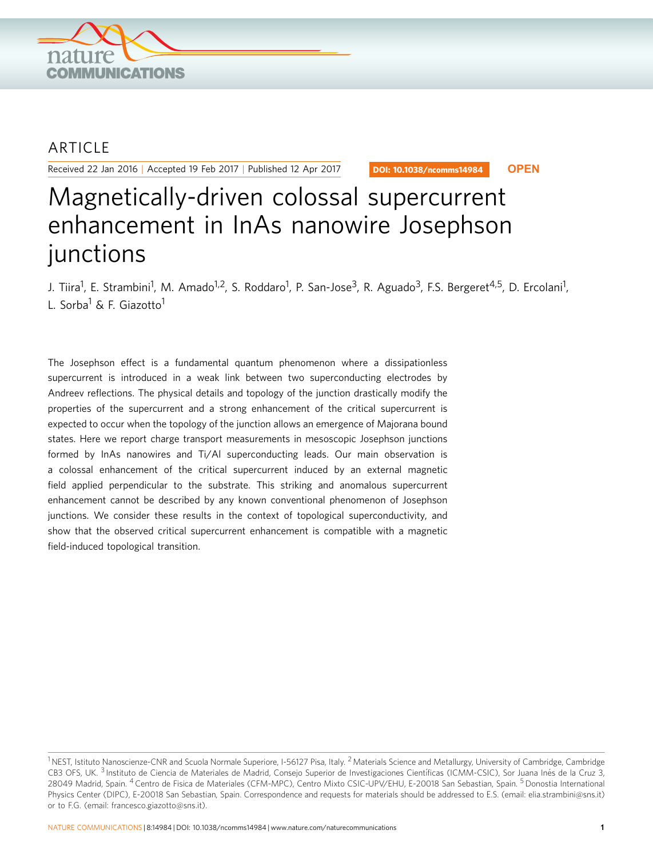

# ARTICLE

Received 22 Jan 2016 | Accepted 19 Feb 2017 | Published 12 Apr 2017

DOI: 10.1038/ncomms14984 **OPEN**

# Magnetically-driven colossal supercurrent enhancement in InAs nanowire Josephson junctions

J. Tiira<sup>1</sup>, E. Strambini<sup>1</sup>, M. Amado<sup>1,2</sup>, S. Roddaro<sup>1</sup>, P. San-Jose<sup>3</sup>, R. Aguado<sup>3</sup>, F.S. Bergeret<sup>4,5</sup>, D. Ercolani<sup>1</sup>, L. Sorba<sup>1</sup> & F. Giazotto<sup>1</sup>

The Josephson effect is a fundamental quantum phenomenon where a dissipationless supercurrent is introduced in a weak link between two superconducting electrodes by Andreev reflections. The physical details and topology of the junction drastically modify the properties of the supercurrent and a strong enhancement of the critical supercurrent is expected to occur when the topology of the junction allows an emergence of Majorana bound states. Here we report charge transport measurements in mesoscopic Josephson junctions formed by InAs nanowires and Ti/Al superconducting leads. Our main observation is a colossal enhancement of the critical supercurrent induced by an external magnetic field applied perpendicular to the substrate. This striking and anomalous supercurrent enhancement cannot be described by any known conventional phenomenon of Josephson junctions. We consider these results in the context of topological superconductivity, and show that the observed critical supercurrent enhancement is compatible with a magnetic field-induced topological transition.

<sup>&</sup>lt;sup>1</sup> NEST, Istituto Nanoscienze-CNR and Scuola Normale Superiore, I-56127 Pisa, Italy. <sup>2</sup> Materials Science and Metallurgy, University of Cambridge, Cambridge CB3 OFS, UK.<sup>3</sup> Instituto de Ciencia de Materiales de Madrid, Consejo Superior de Investigaciones Científicas (ICMM-CSIC), Sor Juana Inés de la Cruz 3, 28049 Madrid, Spain. <sup>4</sup> Centro de Fisica de Materiales (CFM-MPC), Centro Mixto CSIC-UPV/EHU, E-20018 San Sebastian, Spain. <sup>5</sup> Donostia International Physics Center (DIPC), E-20018 San Sebastian, Spain. Correspondence and requests for materials should be addressed to E.S. (email: [elia.strambini@sns.it\)](mailto:elia.strambini@sns.it) or to F.G. (email: [francesco.giazotto@sns.it](mailto:francesco.giazotto@sns.it)).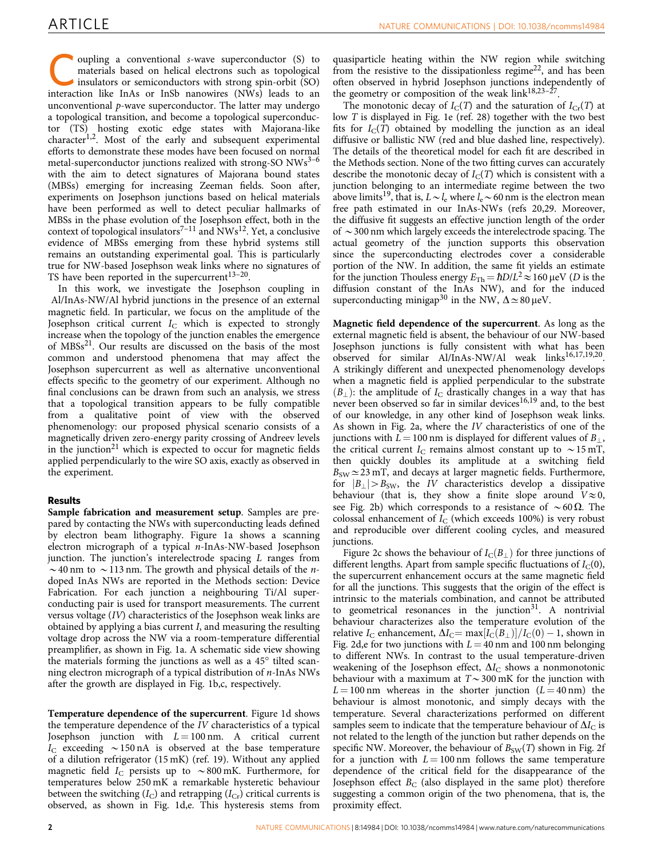oupling a conventional *s*-wave superconductor (S) to materials based on helical electrons such as topological insulators or semiconductors with strong spin-orbit (SO) interaction like In As or InSb nanowires (NWs) leads t materials based on helical electrons such as topological interaction like InAs or InSb nanowires (NWs) leads to an unconventional p-wave superconductor. The latter may undergo a topological transition, and become a topological superconductor (TS) hosting exotic edge states with Majorana-like  $character<sup>1,2</sup>$  $character<sup>1,2</sup>$  $character<sup>1,2</sup>$ . Most of the early and subsequent experimental efforts to demonstrate these modes have been focused on normal metal-superconductor junctions realized with strong-SO  $NWs^{3-6}$ with the aim to detect signatures of Majorana bound states (MBSs) emerging for increasing Zeeman fields. Soon after, experiments on Josephson junctions based on helical materials have been performed as well to detect peculiar hallmarks of MBSs in the phase evolution of the Josephson effect, both in the context of topological insulators<sup>[7–11](#page-7-0)</sup> and  $NWs^{12}$ . Yet, a conclusive evidence of MBSs emerging from these hybrid systems still remains an outstanding experimental goal. This is particularly true for NW-based Josephson weak links where no signatures of TS have been reported in the supercurrent $13-20$ .

In this work, we investigate the Josephson coupling in Al/InAs-NW/Al hybrid junctions in the presence of an external magnetic field. In particular, we focus on the amplitude of the Josephson critical current  $I_C$  which is expected to strongly increase when the topology of the junction enables the emergence of MBSs[21](#page-7-0). Our results are discussed on the basis of the most common and understood phenomena that may affect the Josephson supercurrent as well as alternative unconventional effects specific to the geometry of our experiment. Although no final conclusions can be drawn from such an analysis, we stress that a topological transition appears to be fully compatible from a qualitative point of view with the observed phenomenology: our proposed physical scenario consists of a magnetically driven zero-energy parity crossing of Andreev levels in the junction<sup>[21](#page-7-0)</sup> which is expected to occur for magnetic fields applied perpendicularly to the wire SO axis, exactly as observed in the experiment.

# Results

Sample fabrication and measurement setup. Samples are prepared by contacting the NWs with superconducting leads defined by electron beam lithography. [Figure 1a](#page-2-0) shows a scanning electron micrograph of a typical n-InAs-NW-based Josephson junction. The junction's interelectrode spacing  $L$  ranges from  $\sim$  40 nm to  $\sim$  113 nm. The growth and physical details of the *n*doped InAs NWs are reported in the Methods section: Device Fabrication. For each junction a neighbouring Ti/Al superconducting pair is used for transport measurements. The current versus voltage (IV) characteristics of the Josephson weak links are obtained by applying a bias current I, and measuring the resulting voltage drop across the NW via a room-temperature differential preamplifier, as shown in [Fig. 1a](#page-2-0). A schematic side view showing the materials forming the junctions as well as a  $45^{\circ}$  tilted scanning electron micrograph of a typical distribution of  $n$ -InAs NWs after the growth are displayed in [Fig. 1b,c](#page-2-0), respectively.

Temperature dependence of the supercurrent. [Figure 1d](#page-2-0) shows the temperature dependence of the IV characteristics of a typical Josephson junction with  $L = 100$  nm. A critical current  $I_c$  exceeding  $\sim$  150 nA is observed at the base temperature of a dilution refrigerator (15 mK) ([ref. 19](#page-7-0)). Without any applied magnetic field  $I_C$  persists up to  $\sim 800 \text{ mK}$ . Furthermore, for temperatures below 250 mK a remarkable hysteretic behaviour between the switching  $(I_C)$  and retrapping  $(I_{Cr})$  critical currents is observed, as shown in [Fig. 1d,e](#page-2-0). This hysteresis stems from

quasiparticle heating within the NW region while switching from the resistive to the dissipationless regime<sup>22</sup>, and has been often observed in hybrid Josephson junctions independently of the geometry or composition of the weak  $link^{18,23-27}$ .

The monotonic decay of  $I<sub>C</sub>(T)$  and the saturation of  $I<sub>Cr</sub>(T)$  at low T is displayed in [Fig. 1e](#page-2-0) [\(ref. 28\)](#page-7-0) together with the two best fits for  $I<sub>C</sub>(T)$  obtained by modelling the junction as an ideal diffusive or ballistic NW (red and blue dashed line, respectively). The details of the theoretical model for each fit are described in the Methods section. None of the two fitting curves can accurately describe the monotonic decay of  $I<sub>C</sub>(T)$  which is consistent with a junction belonging to an intermediate regime between the two above limits<sup>19</sup>, that is,  $L \sim l_e$  where  $l_e \sim 60$  nm is the electron mean free path estimated in our InAs-NWs ([refs 20,29](#page-7-0). Moreover, the diffusive fit suggests an effective junction length of the order of  $\sim$  300 nm which largely exceeds the interelectrode spacing. The actual geometry of the junction supports this observation since the superconducting electrodes cover a considerable portion of the NW. In addition, the same fit yields an estimate for the junction Thouless energy  $E_{\text{Th}} = \hbar D/L^2 \approx 160 \,\mu\text{eV}$  (*D* is the diffusion constant of the InAs NW), and for the induced superconducting minigap<sup>[30](#page-7-0)</sup> in the NW,  $\Delta \simeq 80 \,\text{\mu eV}$ .

Magnetic field dependence of the supercurrent. As long as the external magnetic field is absent, the behaviour of our NW-based Josephson junctions is fully consistent with what has been observed for similar Al/InAs-NW/Al weak links<sup>16,17,19,20</sup>. A strikingly different and unexpected phenomenology develops when a magnetic field is applied perpendicular to the substrate  $(B_{\perp})$ : the amplitude of  $I_{\rm C}$  drastically changes in a way that has never been observed so far in similar devices $16,19$  and, to the best of our knowledge, in any other kind of Josephson weak links. As shown in [Fig. 2a,](#page-3-0) where the IV characteristics of one of the junctions with  $L = 100$  nm is displayed for different values of  $B_{\perp}$ , the critical current  $I_C$  remains almost constant up to  $\sim$  15 mT, then quickly doubles its amplitude at a switching field  $B_{SW} \simeq 23$  mT, and decays at larger magnetic fields. Furthermore, for  $|B_{\perp}| > B_{SW}$ , the IV characteristics develop a dissipative behaviour (that is, they show a finite slope around  $V \approx 0$ , see [Fig. 2b](#page-3-0)) which corresponds to a resistance of  $\sim 60 \Omega$ . The colossal enhancement of  $I_c$  (which exceeds 100%) is very robust and reproducible over different cooling cycles, and measured junctions.

[Figure 2c](#page-3-0) shows the behaviour of  $I_C(B_\perp)$  for three junctions of different lengths. Apart from sample specific fluctuations of  $I_{\rm C}(0)$ , the supercurrent enhancement occurs at the same magnetic field for all the junctions. This suggests that the origin of the effect is intrinsic to the materials combination, and cannot be attributed to geometrical resonances in the junction $31$ . A nontrivial behaviour characterizes also the temperature evolution of the relative  $I_C$  enhancement,  $\Delta I_C = \max[I_C(\mathcal{B}_\perp)]/I_C(0) - 1$ , shown in [Fig. 2d,e](#page-3-0) for two junctions with  $L = 40$  nm and 100 nm belonging to different NWs. In contrast to the usual temperature-driven weakening of the Josephson effect,  $\Delta I_{\rm C}$  shows a nonmonotonic behaviour with a maximum at  $T \sim 300 \text{ mK}$  for the junction with  $L = 100$  nm whereas in the shorter junction  $(L = 40$  nm) the behaviour is almost monotonic, and simply decays with the temperature. Several characterizations performed on different samples seem to indicate that the temperature behaviour of  $\Delta I_{\rm C}$  is not related to the length of the junction but rather depends on the specific NW. Moreover, the behaviour of  $B_{SW}(T)$  shown in [Fig. 2f](#page-3-0) for a junction with  $L = 100$  nm follows the same temperature dependence of the critical field for the disappearance of the Josephson effect  $B_C$  (also displayed in the same plot) therefore suggesting a common origin of the two phenomena, that is, the proximity effect.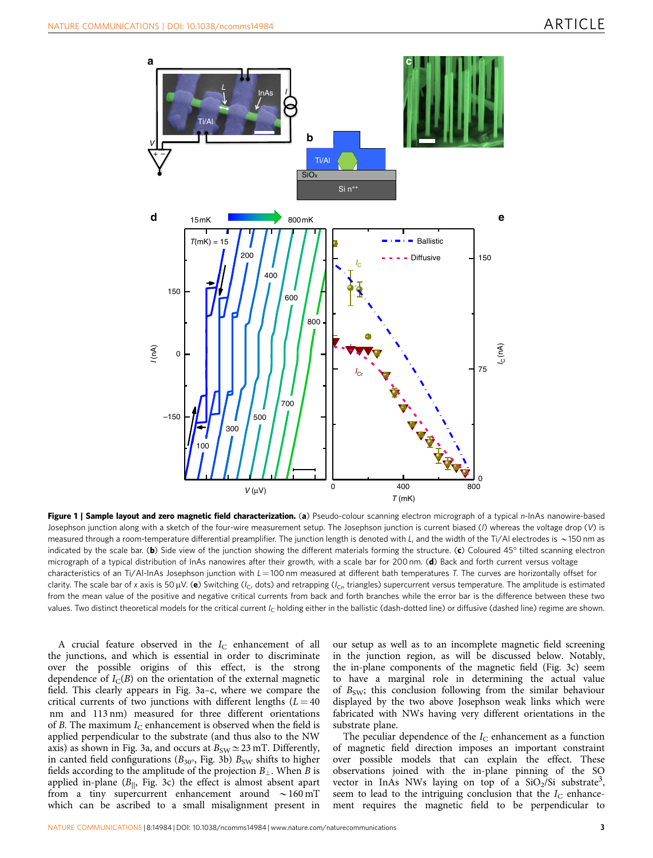<span id="page-2-0"></span>

Figure 1 | Sample layout and zero magnetic field characterization. (a) Pseudo-colour scanning electron micrograph of a typical n-InAs nanowire-based Josephson junction along with a sketch of the four-wire measurement setup. The Josephson junction is current biased (I) whereas the voltage drop (V) is measured through a room-temperature differential preamplifier. The junction length is denoted with L, and the width of the Ti/Al electrodes is  $\sim$  150 nm as indicated by the scale bar. (**b**) Side view of the junction showing the different materials forming the structure. (**c**) Coloured 45° tilted scanning electron micrograph of a typical distribution of InAs nanowires after their growth, with a scale bar for 200 nm. (d) Back and forth current versus voltage characteristics of an Ti/Al-InAs Josephson junction with  $L = 100$  nm measured at different bath temperatures T. The curves are horizontally offset for clarity. The scale bar of x axis is 50 µV. (e) Switching ( $I_C$ , dots) and retrapping ( $I_{Cr}$  triangles) supercurrent versus temperature. The amplitude is estimated from the mean value of the positive and negative critical currents from back and forth branches while the error bar is the difference between these two values. Two distinct theoretical models for the critical current  $I_C$  holding either in the ballistic (dash-dotted line) or diffusive (dashed line) regime are shown.

A crucial feature observed in the  $I_C$  enhancement of all the junctions, and which is essential in order to discriminate over the possible origins of this effect, is the strong dependence of  $I_{\rm C}(B)$  on the orientation of the external magnetic field. This clearly appears in [Fig. 3a–c](#page-4-0), where we compare the critical currents of two junctions with different lengths  $(L = 40)$ nm and 113 nm) measured for three different orientations of B. The maximum  $I_{\rm C}$  enhancement is observed when the field is applied perpendicular to the substrate (and thus also to the NW axis) as shown in [Fig. 3a,](#page-4-0) and occurs at  $B_{SW} \approx 23$  mT. Differently, in canted field configurations ( $B_{30^\circ}$ , [Fig. 3b\)](#page-4-0)  $B_{\rm SW}$  shifts to higher fields according to the amplitude of the projection  $B_{\perp}$ . When B is applied in-plane  $(B_{||},$  [Fig. 3c](#page-4-0)) the effect is almost absent apart from a tiny supercurrent enhancement around  $\sim 160 \,\mathrm{mT}$ which can be ascribed to a small misalignment present in

our setup as well as to an incomplete magnetic field screening in the junction region, as will be discussed below. Notably, the in-plane components of the magnetic field [\(Fig. 3c\)](#page-4-0) seem to have a marginal role in determining the actual value of  $B<sub>SW</sub>$ ; this conclusion following from the similar behaviour displayed by the two above Josephson weak links which were fabricated with NWs having very different orientations in the substrate plane.

The peculiar dependence of the  $I_{\rm C}$  enhancement as a function of magnetic field direction imposes an important constraint over possible models that can explain the effect. These observations joined with the in-plane pinning of the SO vector in InAs NWs laying on top of a  $SiO<sub>2</sub>/Si$  substrate<sup>3</sup>, seem to lead to the intriguing conclusion that the  $I_{\rm C}$  enhancement requires the magnetic field to be perpendicular to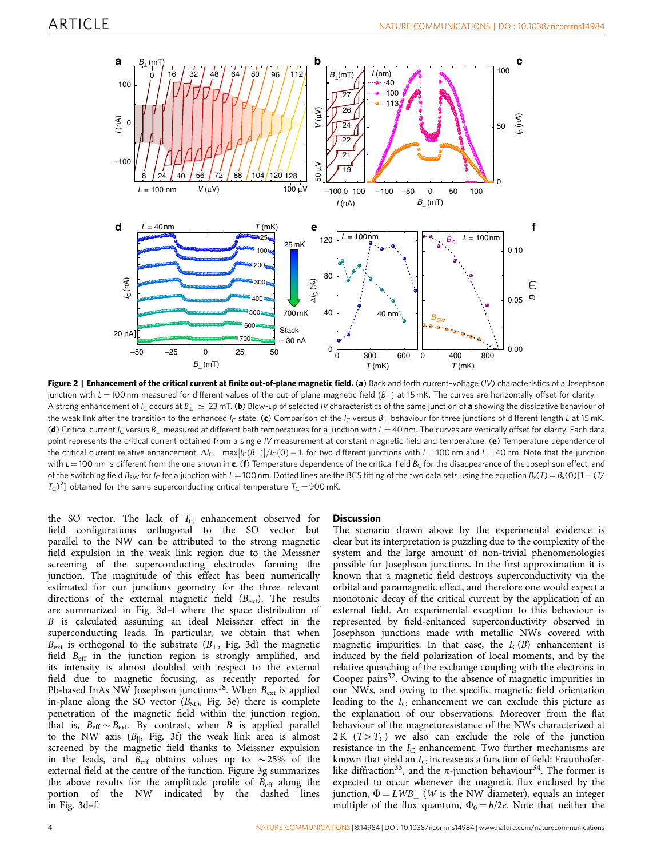<span id="page-3-0"></span>

Figure 2 | Enhancement of the critical current at finite out-of-plane magnetic field. (a) Back and forth current-voltage (IV) characteristics of a Josephson junction with  $L = 100$  nm measured for different values of the out-of plane magnetic field  $(B_+)$  at 15 mK. The curves are horizontally offset for clarity. A strong enhancement of  $I_c$  occurs at  $B_{\perp} \simeq 23$  mT. (b) Blow-up of selected IV characteristics of the same junction of a showing the dissipative behaviour of the weak link after the transition to the enhanced  $I_c$  state. (c) Comparison of the  $I_c$  versus  $B_{\perp}$  behaviour for three junctions of different length L at 15 mK. (d) Critical current  $I_c$  versus  $B_{\perp}$  measured at different bath temperatures for a junction with  $L = 40$  nm. The curves are vertically offset for clarity. Each data point represents the critical current obtained from a single IV measurement at constant magnetic field and temperature. (e) Temperature dependence of the critical current relative enhancement,  $\Delta l_{\sf C}$   $=$  max[/ $_{\sf C}(B_\perp)]/l_{\sf C}({\sf O})$   $-$  1, for two different junctions with  $l$   $=$  100 nm and  $l$   $=$  40 nm. Note that the junction with  $L = 100$  nm is different from the one shown in c. (f) Temperature dependence of the critical field  $B_c$  for the disappearance of the Josephson effect, and of the switching field B<sub>SW</sub> for I<sub>C</sub> for a junction with L = 100 nm. Dotted lines are the BCS fitting of the two data sets using the equation B<sub>x</sub>(T) = B<sub>x</sub>(O)[1 – (T/  $T_c$ )<sup>2</sup>] obtained for the same superconducting critical temperature  $T_c$  = 900 mK.

the SO vector. The lack of  $I_C$  enhancement observed for field configurations orthogonal to the SO vector but parallel to the NW can be attributed to the strong magnetic field expulsion in the weak link region due to the Meissner screening of the superconducting electrodes forming the junction. The magnitude of this effect has been numerically estimated for our junctions geometry for the three relevant directions of the external magnetic field  $(B_{ext})$ . The results are summarized in [Fig. 3d–f](#page-4-0) where the space distribution of B is calculated assuming an ideal Meissner effect in the superconducting leads. In particular, we obtain that when  $B_{\text{ext}}$  is orthogonal to the substrate ( $B_{\perp}$ , [Fig. 3d](#page-4-0)) the magnetic field  $B<sub>eff</sub>$  in the junction region is strongly amplified, and its intensity is almost doubled with respect to the external field due to magnetic focusing, as recently reported for Pb-based InAs NW Josephson junctions<sup>[18](#page-7-0)</sup>. When  $B_{ext}$  is applied in-plane along the SO vector  $(B_{SO},$  [Fig. 3e](#page-4-0)) there is complete penetration of the magnetic field within the junction region, that is,  $B_{\text{eff}} \sim B_{\text{ext}}$ . By contrast, when B is applied parallel to the NW axis  $(B_{\parallel}$ , [Fig. 3f\)](#page-4-0) the weak link area is almost screened by the magnetic field thanks to Meissner expulsion in the leads, and  $B_{\text{eff}}$  obtains values up to  $\sim$  25% of the external field at the centre of the junction. [Figure 3g](#page-4-0) summarizes the above results for the amplitude profile of  $B_{\text{eff}}$  along the portion of the NW indicated by the dashed lines in [Fig. 3d–f](#page-4-0).

# **Discussion**

The scenario drawn above by the experimental evidence is clear but its interpretation is puzzling due to the complexity of the system and the large amount of non-trivial phenomenologies possible for Josephson junctions. In the first approximation it is known that a magnetic field destroys superconductivity via the orbital and paramagnetic effect, and therefore one would expect a monotonic decay of the critical current by the application of an external field. An experimental exception to this behaviour is represented by field-enhanced superconductivity observed in Josephson junctions made with metallic NWs covered with magnetic impurities. In that case, the  $I_{\rm C}(B)$  enhancement is induced by the field polarization of local moments, and by the relative quenching of the exchange coupling with the electrons in Cooper pairs $32$ . Owing to the absence of magnetic impurities in our NWs, and owing to the specific magnetic field orientation leading to the  $I_C$  enhancement we can exclude this picture as the explanation of our observations. Moreover from the flat behaviour of the magnetoresistance of the NWs characterized at  $2K$  ( $T>T_C$ ) we also can exclude the role of the junction resistance in the  $I_C$  enhancement. Two further mechanisms are known that yield an  $I_{\rm C}$  increase as a function of field: Fraunhofer-like diffraction<sup>[33](#page-8-0)</sup>, and the  $\pi$ -junction behaviour<sup>[34](#page-8-0)</sup>. The former is expected to occur whenever the magnetic flux enclosed by the junction,  $\Phi = LWB_{\perp}$  (*W* is the NW diameter), equals an integer multiple of the flux quantum,  $\Phi_0 = h/2e$ . Note that neither the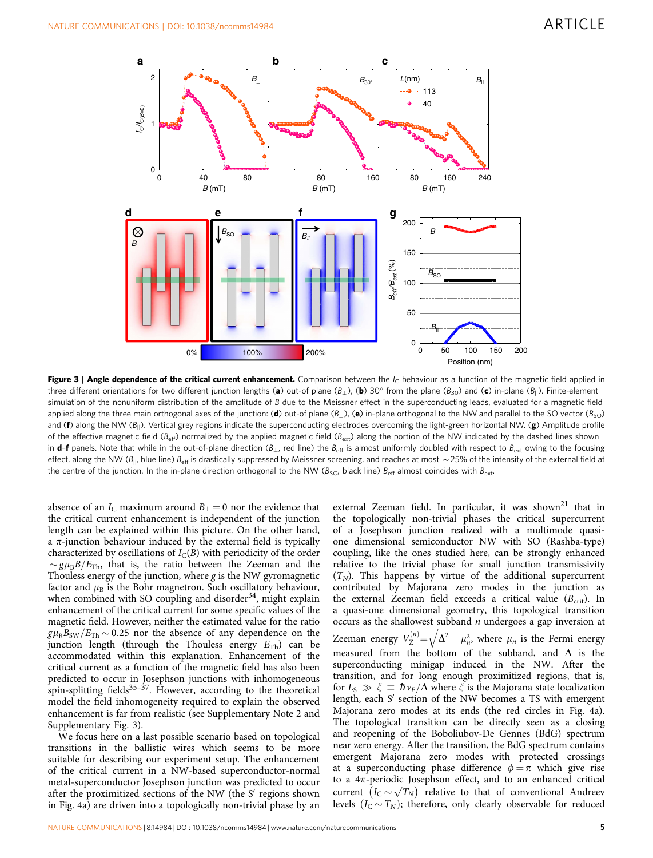<span id="page-4-0"></span>

Figure 3 | Angle dependence of the critical current enhancement. Comparison between the I<sub>C</sub> behaviour as a function of the magnetic field applied in three different orientations for two different junction lengths (**a**) out-of plane ( $B_\perp$ ), (**b**) 30° from the plane ( $B_{30}$ ) and (**c**) in-plane ( $B_{\parallel}$ ). Finite-element simulation of the nonuniform distribution of the amplitude of B due to the Meissner effect in the superconducting leads, evaluated for a magnetic field applied along the three main orthogonal axes of the junction: (d) out-of plane  $(B_1)$ , (e) in-plane orthogonal to the NW and parallel to the SO vector  $(B_{50})$ and (f) along the NW ( $B_{||}$ ). Vertical grey regions indicate the superconducting electrodes overcoming the light-green horizontal NW. (g) Amplitude profile of the effective magnetic field ( $B_{\text{eff}}$ ) normalized by the applied magnetic field ( $B_{\text{ext}}$ ) along the portion of the NW indicated by the dashed lines shown in **d-f** panels. Note that while in the out-of-plane direction ( $B_{\perp}$ , red line) the  $B_{\text{eff}}$  is almost uniformly doubled with respect to  $B_{\text{ext}}$  owing to the focusing effect, along the NW ( $B_{||}$ , blue line)  $B_{eff}$  is drastically suppressed by Meissner screening, and reaches at most  $\sim$  25% of the intensity of the external field at the centre of the junction. In the in-plane direction orthogonal to the NW ( $B_{SO}$ , black line)  $B_{\text{eff}}$  almost coincides with  $B_{\text{ext}}$ .

absence of an  $I_c$  maximum around  $B_{\perp} = 0$  nor the evidence that the critical current enhancement is independent of the junction length can be explained within this picture. On the other hand, a  $\pi$ -junction behaviour induced by the external field is typically characterized by oscillations of  $I_{\rm C}(B)$  with periodicity of the order  $\sim$   $g\mu_B B/E_{\text{Th}}$ , that is, the ratio between the Zeeman and the Thouless energy of the junction, where  $g$  is the NW gyromagnetic factor and  $\mu_B$  is the Bohr magnetron. Such oscillatory behaviour, when combined with SO coupling and disorder $34$ , might explain enhancement of the critical current for some specific values of the magnetic field. However, neither the estimated value for the ratio  $g\mu_B B_{SW}/E_{Th} \sim 0.25$  nor the absence of any dependence on the junction length (through the Thouless energy  $E_{\text{Th}}$ ) can be accommodated within this explanation. Enhancement of the critical current as a function of the magnetic field has also been predicted to occur in Josephson junctions with inhomogeneous spin-splitting fields $35-37$ . However, according to the theoretical model the field inhomogeneity required to explain the observed enhancement is far from realistic (see Supplementary Note 2 and Supplementary Fig. 3).

We focus here on a last possible scenario based on topological transitions in the ballistic wires which seems to be more suitable for describing our experiment setup. The enhancement of the critical current in a NW-based superconductor-normal metal-superconductor Josephson junction was predicted to occur after the proximitized sections of the NW (the  $S'$  regions shown in [Fig. 4a](#page-5-0)) are driven into a topologically non-trivial phase by an

external Zeeman field. In particular, it was shown<sup>21</sup> that in the topologically non-trivial phases the critical supercurrent of a Josephson junction realized with a multimode quasione dimensional semiconductor NW with SO (Rashba-type) coupling, like the ones studied here, can be strongly enhanced relative to the trivial phase for small junction transmissivity  $(T_N)$ . This happens by virtue of the additional supercurrent contributed by Majorana zero modes in the junction as the external Zeeman field exceeds a critical value  $(B_{\text{crit}})$ . In a quasi-one dimensional geometry, this topological transition occurs as the shallowest subband  $n$  undergoes a gap inversion at Zeeman energy  $V_Z^{(n)}$  =  $\sqrt{\Delta^2 + \mu_n^2}$  $\ddot{\hspace{1mm}}$ , where  $\mu_n$  is the Fermi energy measured from the bottom of the subband, and  $\Delta$  is the superconducting minigap induced in the NW. After the transition, and for long enough proximitized regions, that is, for  $L_S \gg \xi \equiv \hbar v_F/\Delta$  where  $\xi$  is the Majorana state localization length, each  $S'$  section of the NW becomes a TS with emergent Majorana zero modes at its ends (the red circles in [Fig. 4a](#page-5-0)). The topological transition can be directly seen as a closing and reopening of the Boboliubov-De Gennes (BdG) spectrum near zero energy. After the transition, the BdG spectrum contains emergent Majorana zero modes with protected crossings at a superconducting phase difference  $\phi = \pi$  which give rise to a  $4\pi$ -periodic Josephson effect, and to an enhanced critical to a  $4\pi$ -periodic josephson effect, and to an emianced critical<br>current  $(I_C \sim \sqrt{T_N})$  relative to that of conventional Andreev levels  $(I_C \sim T_N)$ ; therefore, only clearly observable for reduced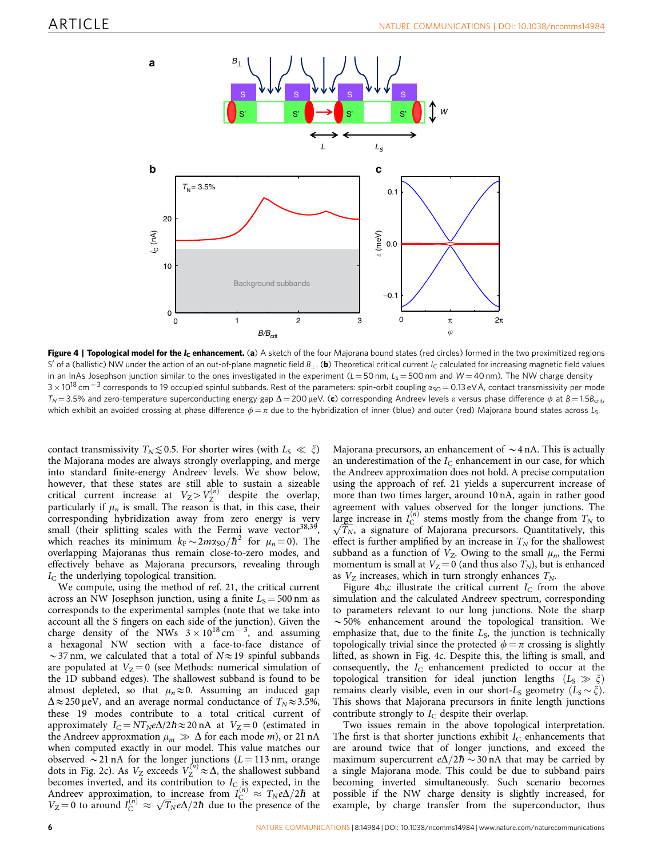<span id="page-5-0"></span>

Figure 4 | Topological model for the I<sub>C</sub> enhancement. (a) A sketch of the four Majorana bound states (red circles) formed in the two proximitized regions S' of a (ballistic) NW under the action of an out-of-plane magnetic field  $B_{\perp}$ . (b) Theoretical critical current  $I_c$  calculated for increasing magnetic field values in an InAs Josephson junction similar to the ones investigated in the experiment ( $L = 50$  nm,  $L<sub>S</sub> = 500$  nm and  $W = 40$  nm). The NW charge density  $3 \times 10^{18}$  cm  $^{-3}$  corresponds to 19 occupied spinful subbands. Rest of the parameters: spin-orbit coupling  $\alpha_{SO} = 0.13$  eVÅ, contact transmissivity per mode  $T_N = 3.5\%$  and zero-temperature superconducting energy gap  $\Delta = 200 \,\mu\text{eV}$ . (c) corresponding Andreev levels  $\varepsilon$  versus phase difference  $\phi$  at  $B = 1.5B_{\text{crit}}$ which exhibit an avoided crossing at phase difference  $\phi = \pi$  due to the hybridization of inner (blue) and outer (red) Majorana bound states across L<sub>S</sub>.

contact transmissivity  $T_N \leq 0.5$ . For shorter wires (with  $L_S \ll \xi$ ) the Majorana modes are always strongly overlapping, and merge into standard finite-energy Andreev levels. We show below, however, that these states are still able to sustain a sizeable critical current increase at  $V_Z > V_Z^{(n)}$  despite the overlap, particularly if  $\mu_n$  is small. The reason is that, in this case, their corresponding hybridization away from zero energy is very small (their splitting scales with the Fermi wave vector  $38,39$ , which reaches its minimum  $k_F \sim 2m\alpha_{\text{SO}}/\hbar^2$  for  $\mu_n = 0$ ). The overlapping Majoranas thus remain close-to-zero modes, and effectively behave as Majorana precursors, revealing through  $I_{\rm C}$  the underlying topological transition.

We compute, using the method of [ref. 21,](#page-7-0) the critical current across an NW Josephson junction, using a finite  $L<sub>S</sub> = 500$  nm as corresponds to the experimental samples (note that we take into account all the S fingers on each side of the junction). Given the charge density of the NWs  $3 \times 10^{18}$  cm<sup>-3</sup>, and assuming a hexagonal NW section with a face-to-face distance of  $\sim$  37 nm, we calculated that a total of  $N \approx 19$  spinful subbands are populated at  $V_Z = 0$  (see Methods: numerical simulation of the 1D subband edges). The shallowest subband is found to be almost depleted, so that  $\mu_n \approx 0$ . Assuming an induced gap  $\Delta \approx 250 \,\mu\text{eV}$ , and an average normal conductance of  $T_N \approx 3.5\%$ , these 19 modes contribute to a total critical current of approximately  $I_C = NT_Ne\Delta/2\hbar \approx 20$  nA at  $V_Z = 0$  (estimated in the Andreev approxmation  $\mu_m \gg \Delta$  for each mode *m*), or 21 nA when computed exactly in our model. This value matches our observed  $\sim$  21 nA for the longer junctions (L = 113 nm, orange dots in [Fig. 2c\)](#page-3-0). As  $V_Z$  exceeds  $V_Z^{(n)} \approx \Delta$ , the shallowest subband becomes inverted, and its contribution to  $I_{\rm C}$  is expected, in the Andreev approximation, to increase from  $I_{\rm C}^{(n)} \approx T_N e\Delta/2\hbar$  at Andreev approximation, to increase from  $I_C^{\wedge} \approx I_N e\Delta / 2\hbar$  at  $V_Z = 0$  to around  $I_C^{\langle n \rangle} \approx \sqrt{T_N} e\Delta / 2\hbar$  due to the presence of the

Majorana precursors, an enhancement of  $\sim$  4 nA. This is actually an underestimation of the  $I_{\rm C}$  enhancement in our case, for which the Andreev approximation does not hold. A precise computation using the approach of [ref. 21](#page-7-0) yields a supercurrent increase of more than two times larger, around 10 nA, again in rather good agreement with values observed for the longer junctions. The large increase in  $I_C^{(n)}$  stems mostly from the change from  $T_N$  to  $\sqrt{T}$  a signature of Majorana precursors. Quantitatively this arge increase in  $I_C^+$  siems mosuly from the change from  $I_N$  to  $\sqrt{T_N}$ , a signature of Majorana precursors. Quantitatively, this effect is further amplified by an increase in  $T_N$  for the shallowest subband as a function of  $V_Z$ . Owing to the small  $\mu_n$ , the Fermi momentum is small at  $V_Z = 0$  (and thus also  $T_N$ ), but is enhanced as  $V_Z$  increases, which in turn strongly enhances  $T_N$ .

Figure 4b,c illustrate the critical current  $I_c$  from the above simulation and the calculated Andreev spectrum, corresponding to parameters relevant to our long junctions. Note the sharp  $\sim$  50% enhancement around the topological transition. We emphasize that, due to the finite  $L<sub>S</sub>$ , the junction is technically topologically trivial since the protected  $\phi = \pi$  crossing is slightly lifted, as shown in Fig. 4c. Despite this, the lifting is small, and consequently, the  $I_C$  enhancement predicted to occur at the topological transition for ideal junction lengths  $(L_S \gg \xi)$ remains clearly visible, even in our short-L<sub>S</sub> geometry  $(L_S \sim \xi)$ . This shows that Majorana precursors in finite length junctions contribute strongly to  $I_{\rm C}$  despite their overlap.

Two issues remain in the above topological interpretation. The first is that shorter junctions exhibit  $I_C$  enhancements that are around twice that of longer junctions, and exceed the maximum supercurrent  $e\Delta/2\hbar \sim 30$  nA that may be carried by a single Majorana mode. This could be due to subband pairs becoming inverted simultaneously. Such scenario becomes possible if the NW charge density is slightly increased, for example, by charge transfer from the superconductor, thus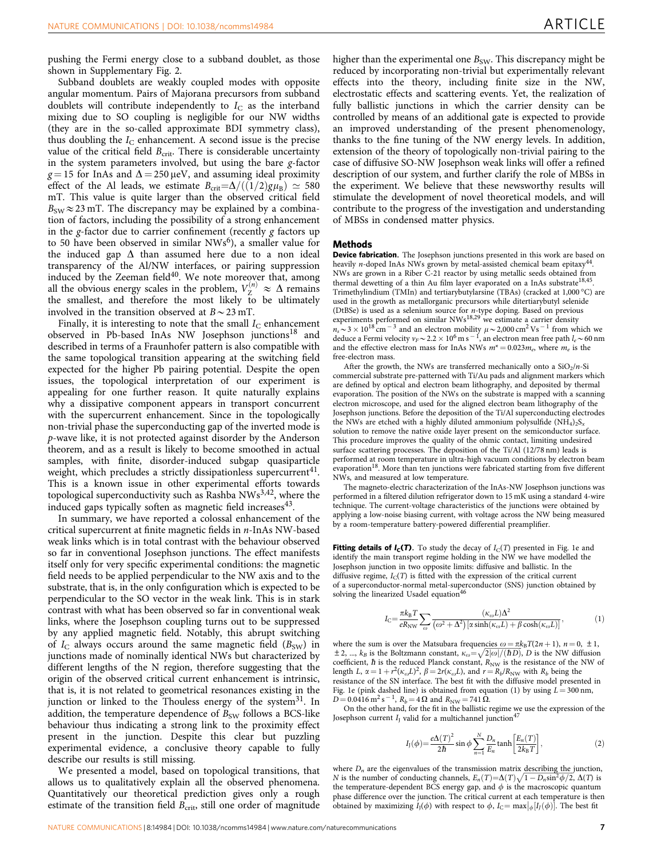pushing the Fermi energy close to a subband doublet, as those shown in Supplementary Fig. 2.

Subband doublets are weakly coupled modes with opposite angular momentum. Pairs of Majorana precursors from subband doublets will contribute independently to  $I<sub>C</sub>$  as the interband mixing due to SO coupling is negligible for our NW widths (they are in the so-called approximate BDI symmetry class), thus doubling the  $I_C$  enhancement. A second issue is the precise value of the critical field  $B_{\text{crit}}$ . There is considerable uncertainty in the system parameters involved, but using the bare  $g$ -factor  $g = 15$  for InAs and  $\Delta = 250 \,\mu\text{eV}$ , and assuming ideal proximity effect of the Al leads, we estimate  $B_{\text{crit}} = \Delta/((1/2)g\mu_B) \approx 580$ mT. This value is quite larger than the observed critical field  $B_{SW} \approx 23$  mT. The discrepancy may be explained by a combination of factors, including the possibility of a strong enhancement in the g-factor due to carrier confinement (recently  $g$  factors up to 50 have been observed in similar  $NWs<sup>6</sup>$  $NWs<sup>6</sup>$  $NWs<sup>6</sup>$ ), a smaller value for the induced gap  $\Delta$  than assumed here due to a non ideal transparency of the Al/NW interfaces, or pairing suppression induced by the Zeeman field<sup>40</sup>. We note moreover that, among all the obvious energy scales in the problem,  $V_Z^{(n)} \approx \Delta$  remains the smallest, and therefore the most likely to be ultimately involved in the transition observed at  $B \sim 23$  mT.

Finally, it is interesting to note that the small  $I_{\rm C}$  enhancement observed in Pb-based InAs NW Josephson junctions<sup>[18](#page-7-0)</sup> and described in terms of a Fraunhofer pattern is also compatible with the same topological transition appearing at the switching field expected for the higher Pb pairing potential. Despite the open issues, the topological interpretation of our experiment is appealing for one further reason. It quite naturally explains why a dissipative component appears in transport concurrent with the supercurrent enhancement. Since in the topologically non-trivial phase the superconducting gap of the inverted mode is p-wave like, it is not protected against disorder by the Anderson theorem, and as a result is likely to become smoothed in actual samples, with finite, disorder-induced subgap quasiparticle weight, which precludes a strictly dissipationless supercurrent<sup>41</sup>. This is a known issue in other experimental efforts towards topological superconductivity such as Rashba NWs<sup>3,42</sup>, where the induced gaps typically soften as magnetic field increases<sup>43</sup>.

In summary, we have reported a colossal enhancement of the critical supercurrent at finite magnetic fields in n-InAs NW-based weak links which is in total contrast with the behaviour observed so far in conventional Josephson junctions. The effect manifests itself only for very specific experimental conditions: the magnetic field needs to be applied perpendicular to the NW axis and to the substrate, that is, in the only configuration which is expected to be perpendicular to the SO vector in the weak link. This is in stark contrast with what has been observed so far in conventional weak links, where the Josephson coupling turns out to be suppressed by any applied magnetic field. Notably, this abrupt switching of  $I_c$  always occurs around the same magnetic field ( $B_{SW}$ ) in junctions made of nominally identical NWs but characterized by different lengths of the N region, therefore suggesting that the origin of the observed critical current enhancement is intrinsic, that is, it is not related to geometrical resonances existing in the junction or linked to the Thouless energy of the system $31$ . In addition, the temperature dependence of  $B_{SW}$  follows a BCS-like behaviour thus indicating a strong link to the proximity effect present in the junction. Despite this clear but puzzling experimental evidence, a conclusive theory capable to fully describe our results is still missing.

We presented a model, based on topological transitions, that allows us to qualitatively explain all the observed phenomena. Quantitatively our theoretical prediction gives only a rough estimate of the transition field  $B_{\text{crit}}$ , still one order of magnitude higher than the experimental one  $B_{SW}$ . This discrepancy might be reduced by incorporating non-trivial but experimentally relevant effects into the theory, including finite size in the NW, electrostatic effects and scattering events. Yet, the realization of fully ballistic junctions in which the carrier density can be controlled by means of an additional gate is expected to provide an improved understanding of the present phenomenology, thanks to the fine tuning of the NW energy levels. In addition, extension of the theory of topologically non-trivial pairing to the case of diffusive SO-NW Josephson weak links will offer a refined description of our system, and further clarify the role of MBSs in the experiment. We believe that these newsworthy results will stimulate the development of novel theoretical models, and will contribute to the progress of the investigation and understanding of MBSs in condensed matter physics.

#### Methods

**Device fabrication.** The Josephson junctions presented in this work are based on heavily n-doped InAs NWs grown by metal-assisted chemical beam epitaxy<sup>4</sup> NWs are grown in a Riber C-21 reactor by using metallic seeds obtained from thermal dewetting of a thin Au film layer evaporated on a InAs substrate<sup>[18,45](#page-7-0)</sup>. Trimethylindium (TMIn) and tertiarybutylarsine (TBAs) (cracked at 1,000 °C) are used in the growth as metallorganic precursors while ditertiarybutyl selenide (DtBSe) is used as a selenium source for *n*-type doping. Based on previous experiments performed on similar NWs<sup>[18,29](#page-7-0)</sup> we estimate a carrier density  $n_s \sim 3 \times 10^{18}$  cm  $^{-3}$  and an electron mobility  $\mu \sim 2,000$  cm<sup>2</sup> Vs <sup>-1</sup> from which we deduce a Fermi velocity  $v_F \sim 2.2 \times 10^6$  m s  $^{-1}$ , an electron mean free path  $l_e \sim 60$  nm and the effective electron mass for InAs NWs  $m^* = 0.023m_e$ , where  $m_e$  is the free-electron mass.

After the growth, the NWs are transferred mechanically onto a  $SiO<sub>2</sub>/n-Si$ commercial substrate pre-patterned with Ti/Au pads and alignment markers which are defined by optical and electron beam lithography, and deposited by thermal evaporation. The position of the NWs on the substrate is mapped with a scanning electron microscope, and used for the aligned electron beam lithography of the Josephson junctions. Before the deposition of the Ti/Al superconducting electrodes the NWs are etched with a highly diluted ammonium polysulfide  $(NH_4)_2S_x$ solution to remove the native oxide layer present on the semiconductor surface. This procedure improves the quality of the ohmic contact, limiting undesired surface scattering processes. The deposition of the Ti/Al (12/78 nm) leads is performed at room temperature in ultra-high vacuum conditions by electron beam evaporation<sup>18</sup>. More than ten junctions were fabricated starting from five different NWs, and measured at low temperature.

The magneto-electric characterization of the InAs-NW Josephson junctions was performed in a filtered dilution refrigerator down to 15 mK using a standard 4-wire technique. The current-voltage characteristics of the junctions were obtained by applying a low-noise biasing current, with voltage across the NW being measured by a room-temperature battery-powered differential preamplifier.

Fitting details of  $I_c(T)$ . To study the decay of  $I_c(T)$  presented in [Fig. 1e](#page-2-0) and identify the main transport regime holding in the NW we have modelled the Josephson junction in two opposite limits: diffusive and ballistic. In the diffusive regime,  $I_C(T)$  is fitted with the expression of the critical current of a superconductor-normal metal-superconductor (SNS) junction obtained by solving the linearized Usadel equation $46$ 

$$
I_{\rm C} = \frac{\pi k_{\rm B} T}{eR_{\rm NW}} \sum_{\omega} \frac{(\kappa_{\omega} L)\Delta^2}{(\omega^2 + \Delta^2)[\alpha \sinh(\kappa_{\omega} L) + \beta \cosh(\kappa_{\omega} L)]},\tag{1}
$$

where the sum is over the Matsubara frequencies  $\omega = \pi k_B T(2n + 1), n = 0, \pm 1,$ where the same is over the Matsubara requesteds  $\frac{\partial}{\partial \theta} = \frac{\hbar k_B}{\hbar} (2n + 1), n = 0, \pm 1, \pm 2, \dots, k_B$  is the Boltzmann constant,  $\kappa_{\omega} = \sqrt{2|\omega|/(\hbar D)}$ , D is the NW diffusion coefficient,  $\hbar$  is the reduced Planck constant,  $R_{\text{NW}}$  is the resistance of the NW of length L,  $\alpha = 1 + r^2(\kappa_{\omega}L)^2$ ,  $\beta = 2r(\kappa_{\omega}L)$ , and  $r = R_b/R_{\text{NW}}$  with  $R_b$  being the resistance of the SN interface. The best fit with the diffusive model presented in [Fig. 1e](#page-2-0) (pink dashed line) is obtained from equation (1) by using  $L = 300$  nm,  $D = 0.0416 \text{ m}^2 \text{ s}^{-1}$ ,  $R_b = 4 \Omega$  and  $R_{\text{NW}} = 741 \Omega$ .

On the other hand, for the fit in the ballistic regime we use the expression of the Josephson current  $I_J$  valid for a multichannel junction<sup>[47](#page-8-0)</sup>

$$
I_{\rm J}(\phi) = \frac{e\Delta(T)^2}{2\hbar} \sin\phi \sum_{n=1}^{N} \frac{D_n}{E_n} \tanh\left[\frac{E_n(T)}{2k_{\rm B}T}\right],\tag{2}
$$

where  $D_n$  are the eigenvalues of the transmission matrix describing the junction, Where  $D_n$  are the eigenvalues of the transmission matrix describing the junction N is the number of conducting channels,  $E_n(T) = \Delta(T)\sqrt{1 - D_n \sin^2 \phi/2}$ ,  $\Delta(T)$  is the temperature-dependent BCS energy gap, and  $\phi$  is the macroscopic quantum phase difference over the junction. The critical current at each temperature is then obtained by maximizing  $I_J(\phi)$  with respect to  $\phi$ ,  $I_C = \max_{\phi} [I_J(\phi)]$ . The best fit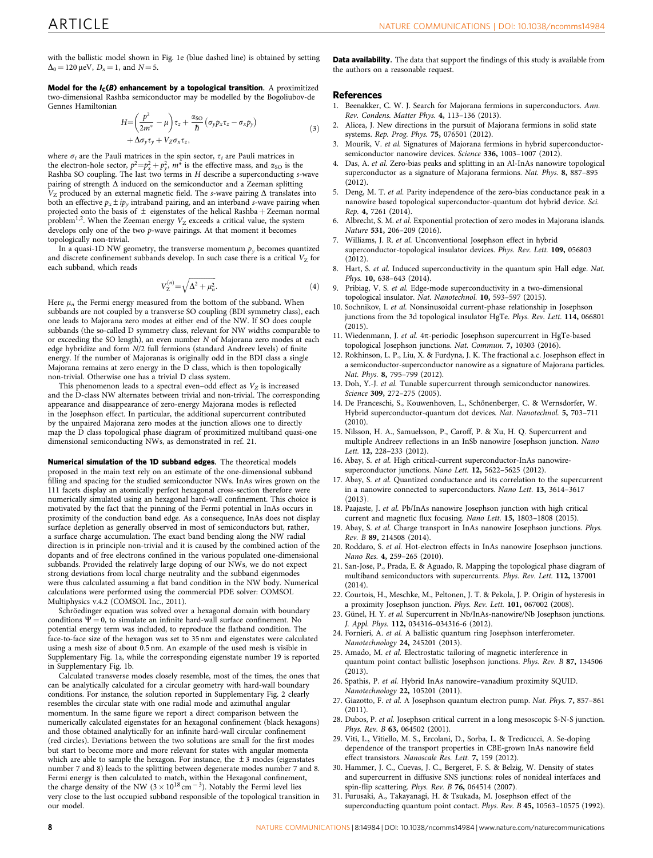<span id="page-7-0"></span>with the ballistic model shown in [Fig. 1e](#page-2-0) (blue dashed line) is obtained by setting  $\Delta_0 = 120 \,\mu\text{eV}$ ,  $D_n = 1$ , and  $N = 5$ .

Model for the  $I_c(B)$  enhancement by a topological transition. A proximitized two-dimensional Rashba semiconductor may be modelled by the Bogoliubov-de Gennes Hamiltonian

$$
H = \left(\frac{p^2}{2m^*} - \mu\right)\tau_z + \frac{\alpha_{\rm SO}}{\hbar}\left(\sigma_y p_x \tau_z - \sigma_x p_y\right) + \Delta \sigma_y \tau_y + V_z \sigma_x \tau_z,
$$
\n(3)

where  $\sigma_i$  are the Pauli matrices in the spin sector,  $\tau_i$  are Pauli matrices in the electron-hole sector,  $p^2 = p_x^2 + p_y^2$ ,  $m^*$  is the effective mass, and  $\alpha_{SO}$  is the Rashba SO coupling. The last two terms in H describe a superconducting s-wave pairing of strength  $\Delta$  induced on the semiconductor and a Zeeman splitting  $V_Z$  produced by an external magnetic field. The s-wave pairing  $\Delta$  translates into both an effective  $p_x \pm i p_y$  intraband pairing, and an interband s-wave pairing when projected onto the basis of  $\pm$  eigenstates of the helical Rashba + Zeeman normal problem<sup>1,2</sup>. When the Zeeman energy  $V_Z$  exceeds a critical value, the system develops only one of the two p-wave pairings. At that moment it becomes topologically non-trivial.

In a quasi-1D NW geometry, the transverse momentum  $p_y$  becomes quantized and discrete confinement subbands develop. In such case there is a critical  $V_Z$  for each subband, which reads

$$
V_{\text{Z}}^{(n)}{=}\sqrt{\Delta^2+\mu_n^2}.\tag{4}
$$

Here  $\mu_n$  the Fermi energy measured from the bottom of the subband. When subbands are not coupled by a transverse SO coupling (BDI symmetry class), each one leads to Majorana zero modes at either end of the NW. If SO does couple subbands (the so-called D symmetry class, relevant for NW widths comparable to or exceeding the SO length), an even number N of Majorana zero modes at each edge hybridize and form N/2 full fermions (standard Andreev levels) of finite energy. If the number of Majoranas is originally odd in the BDI class a single Majorana remains at zero energy in the D class, which is then topologically non-trivial. Otherwise one has a trivial D class system.

This phenomenon leads to a spectral even–odd effect as  $V_Z$  is increased and the D-class NW alternates between trivial and non-trivial. The corresponding appearance and disappearance of zero-energy Majorana modes is reflected in the Josephson effect. In particular, the additional supercurrent contributed by the unpaired Majorana zero modes at the junction allows one to directly map the D class topological phase diagram of proximitized multiband quasi-one dimensional semiconducting NWs, as demonstrated in ref. 21.

Numerical simulation of the 1D subband edges. The theoretical models proposed in the main text rely on an estimate of the one-dimensional subband filling and spacing for the studied semiconductor NWs. InAs wires grown on the 111 facets display an atomically perfect hexagonal cross-section therefore were numerically simulated using an hexagonal hard-wall confinement. This choice is motivated by the fact that the pinning of the Fermi potential in InAs occurs in proximity of the conduction band edge. As a consequence, InAs does not display surface depletion as generally observed in most of semiconductors but, rather, a surface charge accumulation. The exact band bending along the NW radial direction is in principle non-trivial and it is caused by the combined action of the dopants and of free electrons confined in the various populated one-dimensional subbands. Provided the relatively large doping of our NWs, we do not expect strong deviations from local charge neutrality and the subband eigenmodes were thus calculated assuming a flat band condition in the NW body. Numerical calculations were performed using the commercial PDE solver: COMSOL Multiphysics v.4.2 (COMSOL Inc., 2011).

Schröedinger equation was solved over a hexagonal domain with boundary conditions  $\Psi = 0$ , to simulate an infinite hard-wall surface confinement. No potential energy term was included, to reproduce the flatband condition. The face-to-face size of the hexagon was set to 35 nm and eigenstates were calculated using a mesh size of about 0.5 nm. An example of the used mesh is visible in Supplementary Fig. 1a, while the corresponding eigenstate number 19 is reported in Supplementary Fig. 1b.

Calculated transverse modes closely resemble, most of the times, the ones that can be analytically calculated for a circular geometry with hard-wall boundary conditions. For instance, the solution reported in Supplementary Fig. 2 clearly resembles the circular state with one radial mode and azimuthal angular momentum. In the same figure we report a direct comparison between the numerically calculated eigenstates for an hexagonal confinement (black hexagons) and those obtained analytically for an infinite hard-wall circular confinement (red circles). Deviations between the two solutions are small for the first modes but start to become more and more relevant for states with angular momenta which are able to sample the hexagon. For instance, the  $\pm$  3 modes (eigenstates number 7 and 8) leads to the splitting between degenerate modes number 7 and 8. Fermi energy is then calculated to match, within the Hexagonal confinement, the charge density of the NW ( $3 \times 10^{18}$  cm<sup>-3</sup>). Notably the Fermi level lies very close to the last occupied subband responsible of the topological transition in our model.

Data availability. The data that support the findings of this study is available from the authors on a reasonable request.

#### References

- 1. Beenakker, C. W. J. Search for Majorana fermions in superconductors. Ann. Rev. Condens. Matter Phys. 4, 113–136 (2013).
- 2. Alicea, J. New directions in the pursuit of Majorana fermions in solid state systems. Rep. Prog. Phys. 75, 076501 (2012).
- 3. Mourik, V. et al. Signatures of Majorana fermions in hybrid superconductorsemiconductor nanowire devices. Science 336, 1003-1007 (2012).
- 4. Das, A. et al. Zero-bias peaks and splitting in an Al-InAs nanowire topological superconductor as a signature of Majorana fermions. Nat. Phys. 8, 887–895  $(2012)$
- 5. Deng, M. T. et al. Parity independence of the zero-bias conductance peak in a nanowire based topological superconductor-quantum dot hybrid device. Sci. Rep. 4, 7261 (2014).
- 6. Albrecht, S. M. et al. Exponential protection of zero modes in Majorana islands. Nature 531, 206–209 (2016).
- Williams, J. R. et al. Unconventional Josephson effect in hybrid superconductor-topological insulator devices. Phys. Rev. Lett. 109, 056803 (2012).
- Hart, S. et al. Induced superconductivity in the quantum spin Hall edge. Nat. Phys. 10, 638–643 (2014).
- 9. Pribiag, V. S. et al. Edge-mode superconductivity in a two-dimensional topological insulator. Nat. Nanotechnol. 10, 593–597 (2015).
- 10. Sochnikov, I. et al. Nonsinusoidal current-phase relationship in Josephson junctions from the 3d topological insulator HgTe. Phys. Rev. Lett. 114, 066801 (2015).
- 11. Wiedenmann, J. et al.  $4\pi$ -periodic Josephson supercurrent in HgTe-based topological Josephson junctions. Nat. Commun. 7, 10303 (2016).
- 12. Rokhinson, L. P., Liu, X. & Furdyna, J. K. The fractional a.c. Josephson effect in a semiconductor-superconductor nanowire as a signature of Majorana particles. Nat. Phys. 8, 795–799 (2012).
- 13. Doh, Y.-J. et al. Tunable supercurrent through semiconductor nanowires. Science 309, 272–275 (2005).
- 14. De Franceschi, S., Kouwenhoven, L., Schönenberger, C. & Wernsdorfer, W. Hybrid superconductor-quantum dot devices. Nat. Nanotechnol. 5, 703–711 (2010).
- 15. Nilsson, H. A., Samuelsson, P., Caroff, P. & Xu, H. Q. Supercurrent and multiple Andreev reflections in an InSb nanowire Josephson junction. Nano Lett. 12, 228–233 (2012).
- 16. Abay, S. et al. High critical-current superconductor-InAs nanowiresuperconductor junctions. Nano Lett. 12, 5622–5625 (2012).
- 17. Abay, S. et al. Quantized conductance and its correlation to the supercurrent in a nanowire connected to superconductors. Nano Lett. 13, 3614–3617  $(2013)$
- 18. Paajaste, J. et al. Pb/InAs nanowire Josephson junction with high critical current and magnetic flux focusing. Nano Lett. 15, 1803–1808 (2015).
- 19. Abay, S. et al. Charge transport in InAs nanowire Josephson junctions. Phys. Rev. B 89, 214508 (2014).
- 20. Roddaro, S. et al. Hot-electron effects in InAs nanowire Josephson junctions. Nano Res. 4, 259–265 (2010).
- 21. San-Jose, P., Prada, E. & Aguado, R. Mapping the topological phase diagram of multiband semiconductors with supercurrents. Phys. Rev. Lett. 112, 137001 (2014).
- 22. Courtois, H., Meschke, M., Peltonen, J. T. & Pekola, J. P. Origin of hysteresis in a proximity Josephson junction. Phys. Rev. Lett. 101, 067002 (2008).
- 23. Günel, H. Y. et al. Supercurrent in Nb/InAs-nanowire/Nb Josephson junctions. J. Appl. Phys. 112, 034316–034316-6 (2012).
- 24. Fornieri, A. et al. A ballistic quantum ring Josephson interferometer. Nanotechnology 24, 245201 (2013).
- 25. Amado, M. et al. Electrostatic tailoring of magnetic interference in quantum point contact ballistic Josephson junctions. Phys. Rev. B 87, 134506 (2013).
- 26. Spathis, P. et al. Hybrid InAs nanowire–vanadium proximity SQUID. Nanotechnology 22, 105201 (2011).
- 27. Giazotto, F. et al. A Josephson quantum electron pump. Nat. Phys. 7, 857-861 (2011).
- 28. Dubos, P. et al. Josephson critical current in a long mesoscopic S-N-S junction. Phys. Rev. B 63, 064502 (2001).
- 29. Viti, L., Vitiello, M. S., Ercolani, D., Sorba, L. & Tredicucci, A. Se-doping dependence of the transport properties in CBE-grown InAs nanowire field effect transistors. Nanoscale Res. Lett. 7, 159 (2012).
- 30. Hammer, J. C., Cuevas, J. C., Bergeret, F. S. & Belzig, W. Density of states and supercurrent in diffusive SNS junctions: roles of nonideal interfaces and spin-flip scattering. Phys. Rev. B 76, 064514 (2007).
- 31. Furusaki, A., Takayanagi, H. & Tsukada, M. Josephson effect of the superconducting quantum point contact. Phys. Rev. B 45, 10563-10575 (1992).